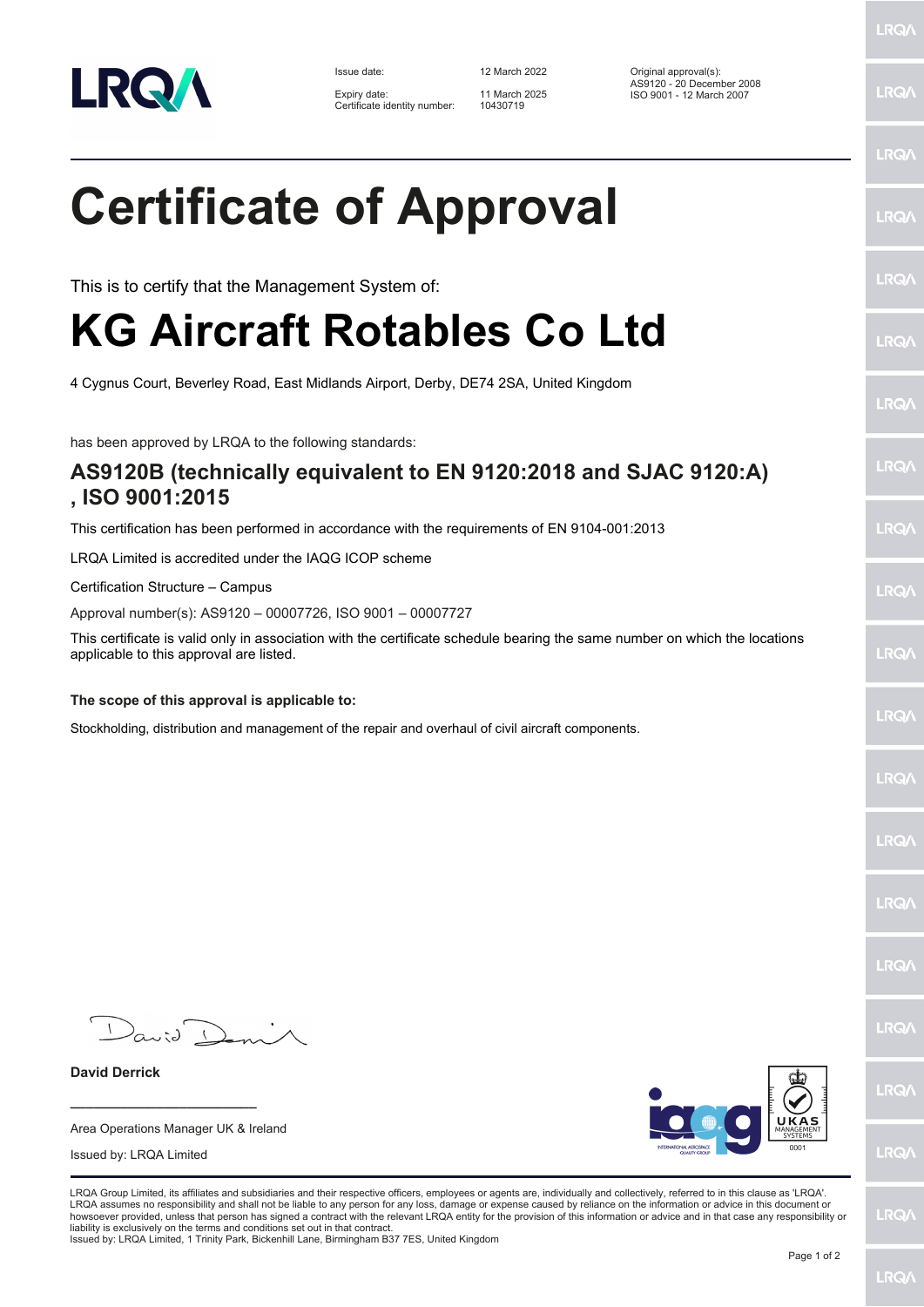

Expiry date: 11 March 2025<br>Certificate identity number: 10430719

Issue date: 12 March 2022 Original approval(s): AS9120 - 20 December 2008 Expiry date: 11 March 2025 ISO 9001 - 12 March 2007

**LRQ/** 

**LRQ/** 

**LRQA** 

| <b>Certificate of Approval</b>                                                                                                                                                   | <b>LRG</b> |
|----------------------------------------------------------------------------------------------------------------------------------------------------------------------------------|------------|
| This is to certify that the Management System of:                                                                                                                                | <b>LRG</b> |
| KG Aircraft Rotables Co Ltd                                                                                                                                                      | <b>LRG</b> |
| 4 Cygnus Court, Beverley Road, East Midlands Airport, Derby, DE74 2SA, United Kingdom                                                                                            | <b>LRC</b> |
| has been approved by LRQA to the following standards:                                                                                                                            |            |
| AS9120B (technically equivalent to EN 9120:2018 and SJAC 9120:A)<br>, ISO 9001:2015                                                                                              | <b>LRG</b> |
| This certification has been performed in accordance with the requirements of EN 9104-001:2013                                                                                    | <b>LRG</b> |
| LRQA Limited is accredited under the IAQG ICOP scheme                                                                                                                            |            |
| Certification Structure - Campus                                                                                                                                                 | <b>LRC</b> |
| Approval number(s): AS9120 - 00007726, ISO 9001 - 00007727                                                                                                                       |            |
| This certificate is valid only in association with the certificate schedule bearing the same number on which the locations<br>applicable to this approval are listed.            | <b>LRG</b> |
| The scope of this approval is applicable to:                                                                                                                                     |            |
| Stockholding, distribution and management of the repair and overhaul of civil aircraft components.                                                                               | <b>LRC</b> |
|                                                                                                                                                                                  | <b>LRC</b> |
|                                                                                                                                                                                  | <b>LRG</b> |
|                                                                                                                                                                                  | <b>LRG</b> |
|                                                                                                                                                                                  | <b>LRC</b> |
| David Deni                                                                                                                                                                       | <b>LRG</b> |
| <b>David Derrick</b>                                                                                                                                                             | <b>LRC</b> |
| UKAS<br>Area Operations Manager UK & Ireland<br>MANAGEME<br>SYSTEMS                                                                                                              |            |
| INTERNATIONAL AEROSPACE<br>0001<br>Issued by: LRQA Limited<br><b>QUALITY GROU</b>                                                                                                | <b>LRC</b> |
| LRQA Group Limited, its affiliates and subsidiaries and their respective officers, employees or agents are, individually and collectively, referred to in this clause as 'LRQA'. |            |

LRQA Group Limited, its affiliates and subsidiaries and their respective officers, employees or agents are, individually and collectively, referred to in this clause as 'LRQA'.<br>LRQA assumes no responsibility and shall not

**LRQ/**